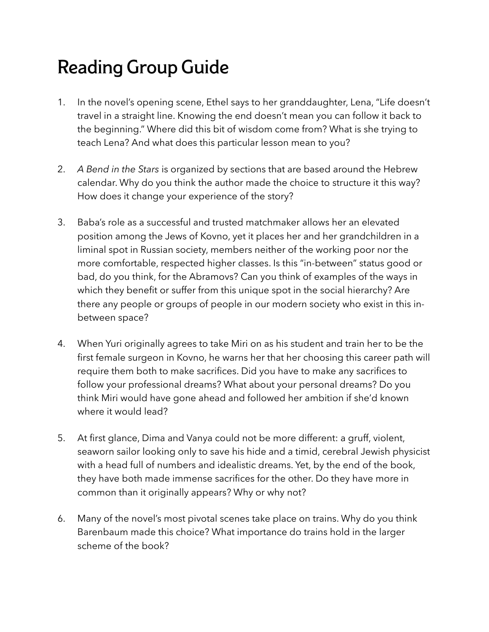## Reading Group Guide

- 1. In the novel's opening scene, Ethel says to her granddaughter, Lena, "Life doesn't travel in a straight line. Knowing the end doesn't mean you can follow it back to the beginning." Where did this bit of wisdom come from? What is she trying to teach Lena? And what does this particular lesson mean to you?
- 2. *A Bend in the Stars* is organized by sections that are based around the Hebrew calendar. Why do you think the author made the choice to structure it this way? How does it change your experience of the story?
- 3. Baba's role as a successful and trusted matchmaker allows her an elevated position among the Jews of Kovno, yet it places her and her grandchildren in a liminal spot in Russian society, members neither of the working poor nor the more comfortable, respected higher classes. Is this "in-between" status good or bad, do you think, for the Abramovs? Can you think of examples of the ways in which they benefit or suffer from this unique spot in the social hierarchy? Are there any people or groups of people in our modern society who exist in this inbetween space?
- 4. When Yuri originally agrees to take Miri on as his student and train her to be the first female surgeon in Kovno, he warns her that her choosing this career path will require them both to make sacrifices. Did you have to make any sacrifices to follow your professional dreams? What about your personal dreams? Do you think Miri would have gone ahead and followed her ambition if she'd known where it would lead?
- 5. At first glance, Dima and Vanya could not be more different: a gruff, violent, seaworn sailor looking only to save his hide and a timid, cerebral Jewish physicist with a head full of numbers and idealistic dreams. Yet, by the end of the book, they have both made immense sacrifices for the other. Do they have more in common than it originally appears? Why or why not?
- 6. Many of the novel's most pivotal scenes take place on trains. Why do you think Barenbaum made this choice? What importance do trains hold in the larger scheme of the book?